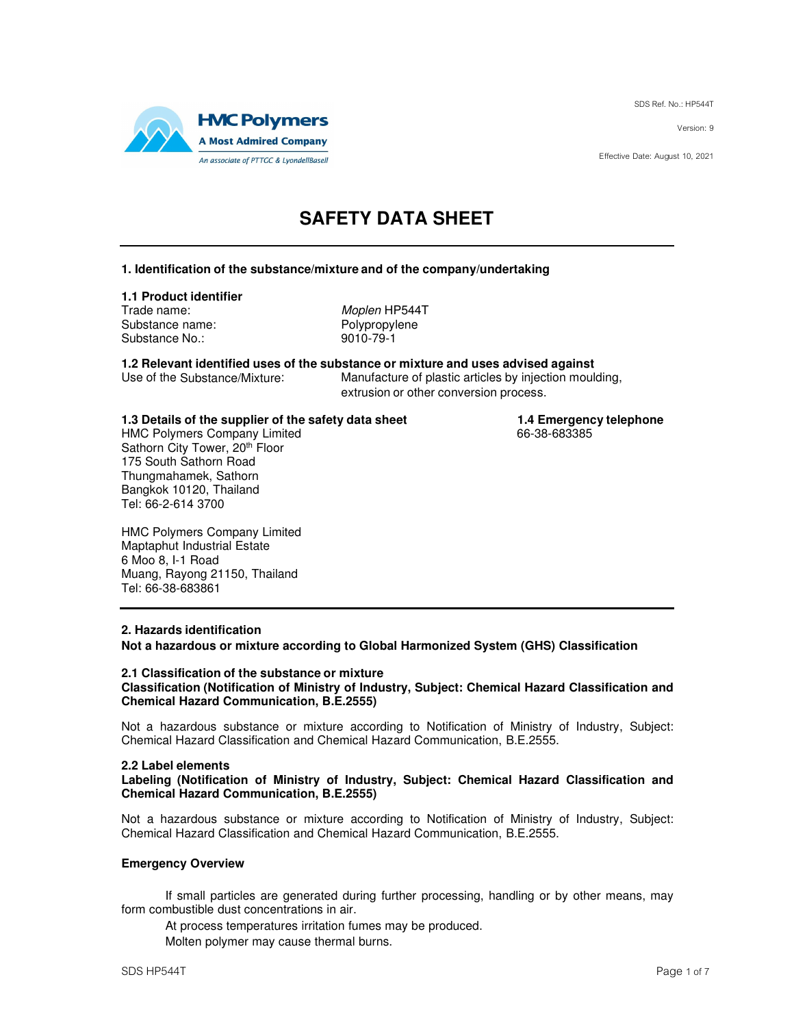SDS Ref. No.: HP544T

Version: 9

Effective Date: August 10, 2021



# **SAFETY DATA SHEET**

### **1. Identification of the substance/mixture and of the company/undertaking**

### **1.1 Product identifier**

Trade name: Moplen HP544T Substance name: Polypropylene Substance No.: 9010-79-1

**1.2 Relevant identified uses of the substance or mixture and uses advised against** Manufacture of plastic articles by injection moulding,

extrusion or other conversion process.

**1.3 Details of the supplier of the safety data sheet 1.4 Emergency telephone**<br>HMC Polymers Company Limited **1.4 Emergency telephone** 

HMC Polymers Company Limited Sathorn City Tower, 20th Floor 175 South Sathorn Road Thungmahamek, Sathorn Bangkok 10120, Thailand Tel: 66-2-614 3700

HMC Polymers Company Limited Maptaphut Industrial Estate 6 Moo 8, I-1 Road Muang, Rayong 21150, Thailand Tel: 66-38-683861

### **2. Hazards identification**

**Not a hazardous or mixture according to Global Harmonized System (GHS) Classification** 

#### **2.1 Classification of the substance or mixture Classification (Notification of Ministry of Industry, Subject: Chemical Hazard Classification and Chemical Hazard Communication, B.E.2555)**

Not a hazardous substance or mixture according to Notification of Ministry of Industry, Subject: Chemical Hazard Classification and Chemical Hazard Communication, B.E.2555.

### **2.2 Label elements**

**Labeling (Notification of Ministry of Industry, Subject: Chemical Hazard Classification and Chemical Hazard Communication, B.E.2555)** 

Not a hazardous substance or mixture according to Notification of Ministry of Industry, Subject: Chemical Hazard Classification and Chemical Hazard Communication, B.E.2555.

### **Emergency Overview**

If small particles are generated during further processing, handling or by other means, may form combustible dust concentrations in air.

At process temperatures irritation fumes may be produced.

Molten polymer may cause thermal burns.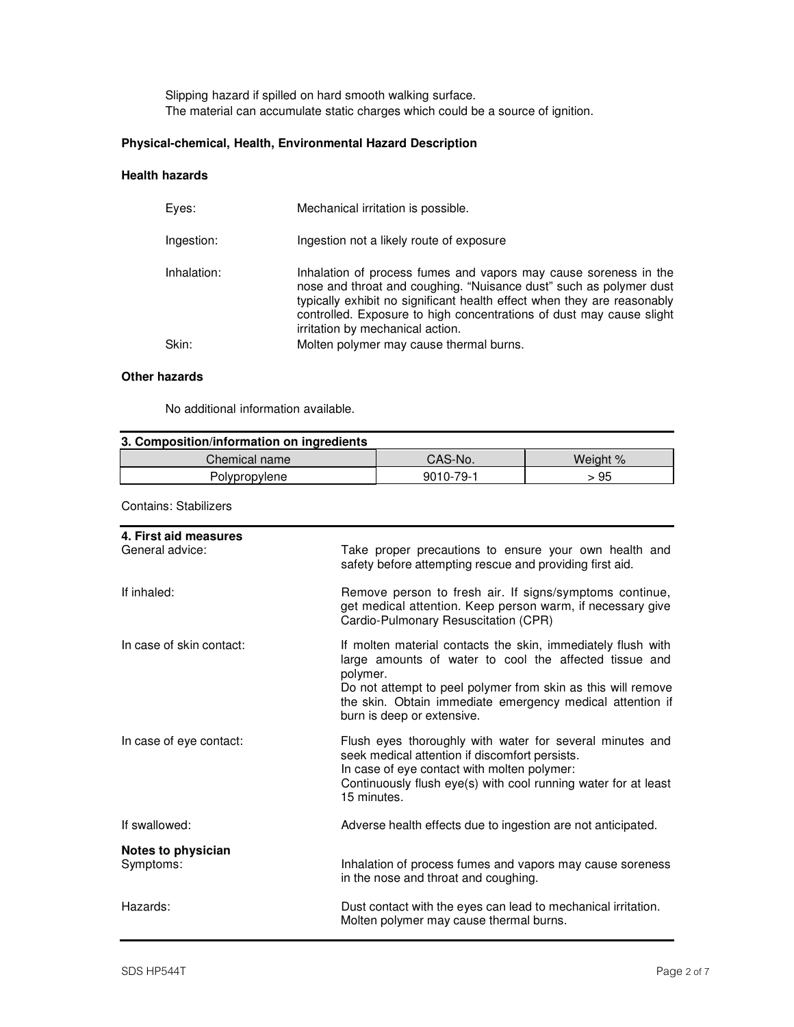Slipping hazard if spilled on hard smooth walking surface. The material can accumulate static charges which could be a source of ignition.

### **Physical-chemical, Health, Environmental Hazard Description**

### **Health hazards**

| Eves:       | Mechanical irritation is possible.                                                                                                                                                                                                                                                                                            |
|-------------|-------------------------------------------------------------------------------------------------------------------------------------------------------------------------------------------------------------------------------------------------------------------------------------------------------------------------------|
| Ingestion:  | Ingestion not a likely route of exposure                                                                                                                                                                                                                                                                                      |
| Inhalation: | Inhalation of process fumes and vapors may cause soreness in the<br>nose and throat and coughing. "Nuisance dust" such as polymer dust<br>typically exhibit no significant health effect when they are reasonably<br>controlled. Exposure to high concentrations of dust may cause slight<br>irritation by mechanical action. |
| Skin:       | Molten polymer may cause thermal burns.                                                                                                                                                                                                                                                                                       |
|             |                                                                                                                                                                                                                                                                                                                               |

### **Other hazards**

No additional information available.

| 3. Composition/information on ingredients |           |          |  |
|-------------------------------------------|-----------|----------|--|
| Chemical name                             | CAS-No.   | Weight % |  |
| Polypropylene                             | 9010-79-1 | > 95     |  |

Contains: Stabilizers

| 4. First aid measures<br>General advice: | Take proper precautions to ensure your own health and<br>safety before attempting rescue and providing first aid.                                                                                                                                                                             |
|------------------------------------------|-----------------------------------------------------------------------------------------------------------------------------------------------------------------------------------------------------------------------------------------------------------------------------------------------|
| If inhaled:                              | Remove person to fresh air. If signs/symptoms continue,<br>get medical attention. Keep person warm, if necessary give<br>Cardio-Pulmonary Resuscitation (CPR)                                                                                                                                 |
| In case of skin contact:                 | If molten material contacts the skin, immediately flush with<br>large amounts of water to cool the affected tissue and<br>polymer.<br>Do not attempt to peel polymer from skin as this will remove<br>the skin. Obtain immediate emergency medical attention if<br>burn is deep or extensive. |
| In case of eye contact:                  | Flush eyes thoroughly with water for several minutes and<br>seek medical attention if discomfort persists.<br>In case of eye contact with molten polymer:<br>Continuously flush eye(s) with cool running water for at least<br>15 minutes.                                                    |
| If swallowed:                            | Adverse health effects due to ingestion are not anticipated.                                                                                                                                                                                                                                  |
| Notes to physician<br>Symptoms:          | Inhalation of process fumes and vapors may cause soreness<br>in the nose and throat and coughing.                                                                                                                                                                                             |
| Hazards:                                 | Dust contact with the eyes can lead to mechanical irritation.<br>Molten polymer may cause thermal burns.                                                                                                                                                                                      |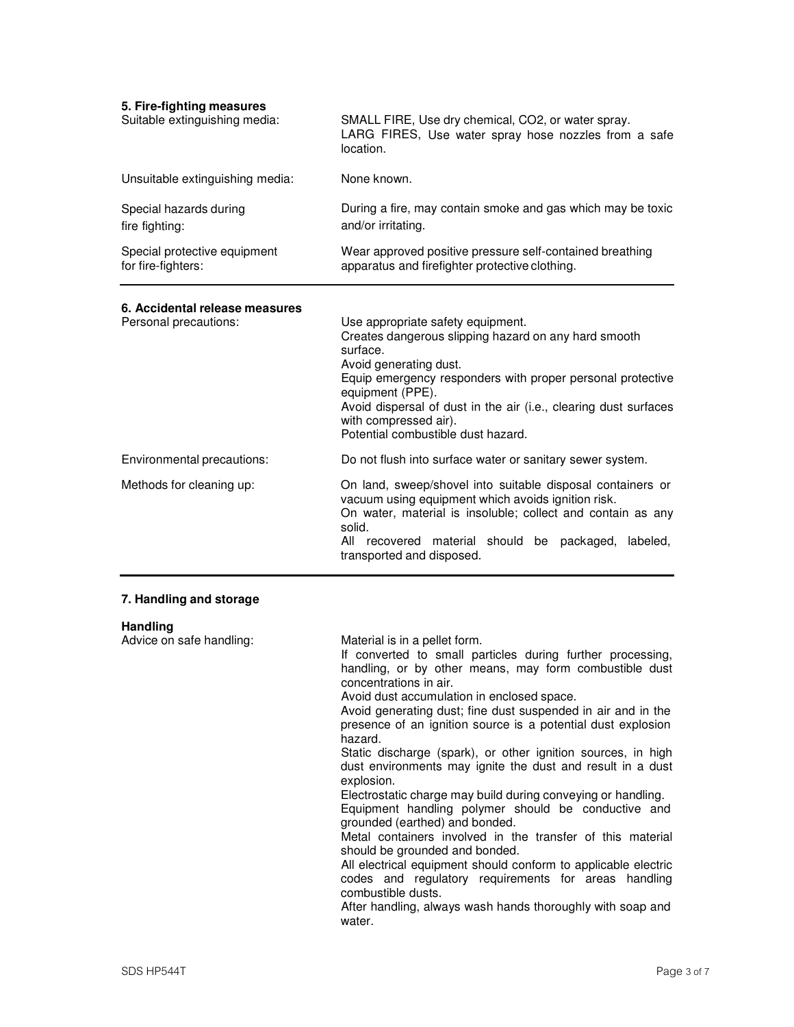| 5. Fire-fighting measures<br>Suitable extinguishing media: | SMALL FIRE, Use dry chemical, CO2, or water spray.<br>LARG FIRES, Use water spray hose nozzles from a safe<br>location.                                                                                                                                                                                                                                                                                                                                                                                                                                                                                                                                                                                                                                                       |
|------------------------------------------------------------|-------------------------------------------------------------------------------------------------------------------------------------------------------------------------------------------------------------------------------------------------------------------------------------------------------------------------------------------------------------------------------------------------------------------------------------------------------------------------------------------------------------------------------------------------------------------------------------------------------------------------------------------------------------------------------------------------------------------------------------------------------------------------------|
| Unsuitable extinguishing media:                            | None known.                                                                                                                                                                                                                                                                                                                                                                                                                                                                                                                                                                                                                                                                                                                                                                   |
| Special hazards during<br>fire fighting:                   | During a fire, may contain smoke and gas which may be toxic<br>and/or irritating.                                                                                                                                                                                                                                                                                                                                                                                                                                                                                                                                                                                                                                                                                             |
| Special protective equipment<br>for fire-fighters:         | Wear approved positive pressure self-contained breathing<br>apparatus and firefighter protective clothing.                                                                                                                                                                                                                                                                                                                                                                                                                                                                                                                                                                                                                                                                    |
| 6. Accidental release measures<br>Personal precautions:    | Use appropriate safety equipment.<br>Creates dangerous slipping hazard on any hard smooth<br>surface.<br>Avoid generating dust.<br>Equip emergency responders with proper personal protective<br>equipment (PPE).<br>Avoid dispersal of dust in the air (i.e., clearing dust surfaces<br>with compressed air).<br>Potential combustible dust hazard.                                                                                                                                                                                                                                                                                                                                                                                                                          |
| Environmental precautions:                                 | Do not flush into surface water or sanitary sewer system.                                                                                                                                                                                                                                                                                                                                                                                                                                                                                                                                                                                                                                                                                                                     |
| Methods for cleaning up:                                   | On land, sweep/shovel into suitable disposal containers or<br>vacuum using equipment which avoids ignition risk.<br>On water, material is insoluble; collect and contain as any<br>solid.<br>All recovered material should be packaged,<br>labeled,<br>transported and disposed.                                                                                                                                                                                                                                                                                                                                                                                                                                                                                              |
| 7. Handling and storage                                    |                                                                                                                                                                                                                                                                                                                                                                                                                                                                                                                                                                                                                                                                                                                                                                               |
| <b>Handling</b><br>Advice on safe handling:                | Material is in a pellet form.<br>If converted to small particles during further processing,<br>handling, or by other means, may form combustible dust<br>concentrations in air.<br>Avoid dust accumulation in enclosed space.<br>Avoid generating dust; fine dust suspended in air and in the<br>presence of an ignition source is a potential dust explosion<br>hazard.<br>Static discharge (spark), or other ignition sources, in high<br>dust environments may ignite the dust and result in a dust<br>explosion.<br>Electrostatic charge may build during conveying or handling.<br>Equipment handling polymer should be conductive and<br>grounded (earthed) and bonded.<br>Metal containers involved in the transfer of this material<br>should be grounded and bonded. |

All electrical equipment should conform to applicable electric codes and regulatory requirements for areas handling combustible dusts.

After handling, always wash hands thoroughly with soap and water.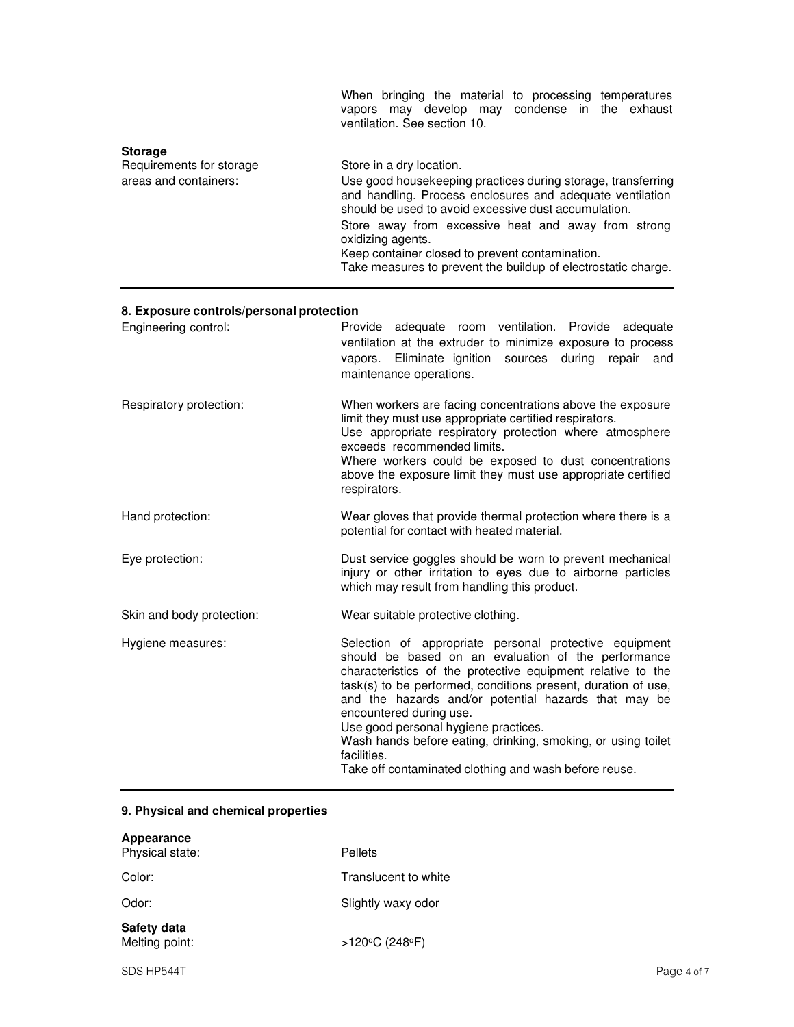|                                                                     | When bringing the material to processing temperatures<br>vapors may develop may condense in the exhaust<br>ventilation. See section 10.                                                                                                                                                                                                                                                                       |
|---------------------------------------------------------------------|---------------------------------------------------------------------------------------------------------------------------------------------------------------------------------------------------------------------------------------------------------------------------------------------------------------------------------------------------------------------------------------------------------------|
| <b>Storage</b><br>Requirements for storage<br>areas and containers: | Store in a dry location.<br>Use good housekeeping practices during storage, transferring<br>and handling. Process enclosures and adequate ventilation<br>should be used to avoid excessive dust accumulation.<br>Store away from excessive heat and away from strong<br>oxidizing agents.<br>Keep container closed to prevent contamination.<br>Take measures to prevent the buildup of electrostatic charge. |

### **8. Exposure controls/personal protection**

| Engineering control:      | Provide adequate room ventilation. Provide adequate<br>ventilation at the extruder to minimize exposure to process<br>vapors. Eliminate ignition sources during<br>repair<br>and<br>maintenance operations.                                                                                                                                                                                                                                                                                                      |
|---------------------------|------------------------------------------------------------------------------------------------------------------------------------------------------------------------------------------------------------------------------------------------------------------------------------------------------------------------------------------------------------------------------------------------------------------------------------------------------------------------------------------------------------------|
| Respiratory protection:   | When workers are facing concentrations above the exposure<br>limit they must use appropriate certified respirators.<br>Use appropriate respiratory protection where atmosphere<br>exceeds recommended limits.<br>Where workers could be exposed to dust concentrations<br>above the exposure limit they must use appropriate certified<br>respirators.                                                                                                                                                           |
| Hand protection:          | Wear gloves that provide thermal protection where there is a<br>potential for contact with heated material.                                                                                                                                                                                                                                                                                                                                                                                                      |
| Eye protection:           | Dust service goggles should be worn to prevent mechanical<br>injury or other irritation to eyes due to airborne particles<br>which may result from handling this product.                                                                                                                                                                                                                                                                                                                                        |
| Skin and body protection: | Wear suitable protective clothing.                                                                                                                                                                                                                                                                                                                                                                                                                                                                               |
| Hygiene measures:         | Selection of appropriate personal protective equipment<br>should be based on an evaluation of the performance<br>characteristics of the protective equipment relative to the<br>task(s) to be performed, conditions present, duration of use,<br>and the hazards and/or potential hazards that may be<br>encountered during use.<br>Use good personal hygiene practices.<br>Wash hands before eating, drinking, smoking, or using toilet<br>facilities.<br>Take off contaminated clothing and wash before reuse. |

### **9. Physical and chemical properties**

| Appearance<br>Physical state: | Pellets              |
|-------------------------------|----------------------|
| Color:                        | Translucent to white |
| Odor:                         | Slightly waxy odor   |
| Safety data<br>Melting point: | >120°C (248°F)       |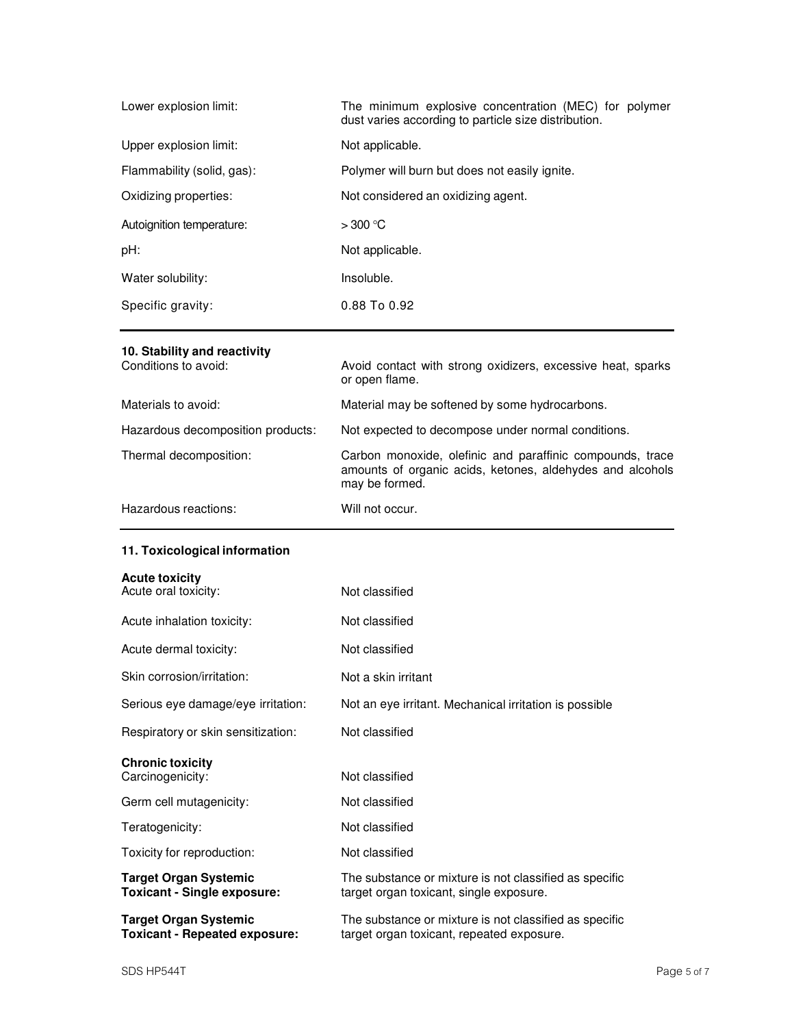| Lower explosion limit:     | The minimum explosive concentration (MEC) for polymer<br>dust varies according to particle size distribution. |
|----------------------------|---------------------------------------------------------------------------------------------------------------|
| Upper explosion limit:     | Not applicable.                                                                                               |
| Flammability (solid, gas): | Polymer will burn but does not easily ignite.                                                                 |
| Oxidizing properties:      | Not considered an oxidizing agent.                                                                            |
| Autoignition temperature:  | $>300$ °C                                                                                                     |
| pH:                        | Not applicable.                                                                                               |
| Water solubility:          | Insoluble.                                                                                                    |
| Specific gravity:          | $0.88$ To $0.92$                                                                                              |

### **10. Stability and reactivity**

| Conditions to avoid:              | Avoid contact with strong oxidizers, excessive heat, sparks<br>or open flame.                                                            |
|-----------------------------------|------------------------------------------------------------------------------------------------------------------------------------------|
| Materials to avoid:               | Material may be softened by some hydrocarbons.                                                                                           |
| Hazardous decomposition products: | Not expected to decompose under normal conditions.                                                                                       |
| Thermal decomposition:            | Carbon monoxide, olefinic and paraffinic compounds, trace<br>amounts of organic acids, ketones, aldehydes and alcohols<br>may be formed. |
| Hazardous reactions:              | Will not occur.                                                                                                                          |

### **11. Toxicological information**

| <b>Acute toxicity</b> |  |  |
|-----------------------|--|--|
|                       |  |  |

| <b>Target Organ Systemic</b><br><b>Toxicant - Repeated exposure:</b> | The substance or mixture is not classified as specific<br>target organ toxicant, repeated exposure. |
|----------------------------------------------------------------------|-----------------------------------------------------------------------------------------------------|
| <b>Target Organ Systemic</b><br><b>Toxicant - Single exposure:</b>   | The substance or mixture is not classified as specific<br>target organ toxicant, single exposure.   |
| Toxicity for reproduction:                                           | Not classified                                                                                      |
| Teratogenicity:                                                      | Not classified                                                                                      |
| Germ cell mutagenicity:                                              | Not classified                                                                                      |
| <b>Chronic toxicity</b><br>Carcinogenicity:                          | Not classified                                                                                      |
| Respiratory or skin sensitization:                                   | Not classified                                                                                      |
| Serious eye damage/eye irritation:                                   | Not an eye irritant. Mechanical irritation is possible                                              |
| Skin corrosion/irritation:                                           | Not a skin irritant                                                                                 |
| Acute dermal toxicity:                                               | Not classified                                                                                      |
| Acute inhalation toxicity:                                           | Not classified                                                                                      |
| Acute oral toxicity:                                                 | Not classified                                                                                      |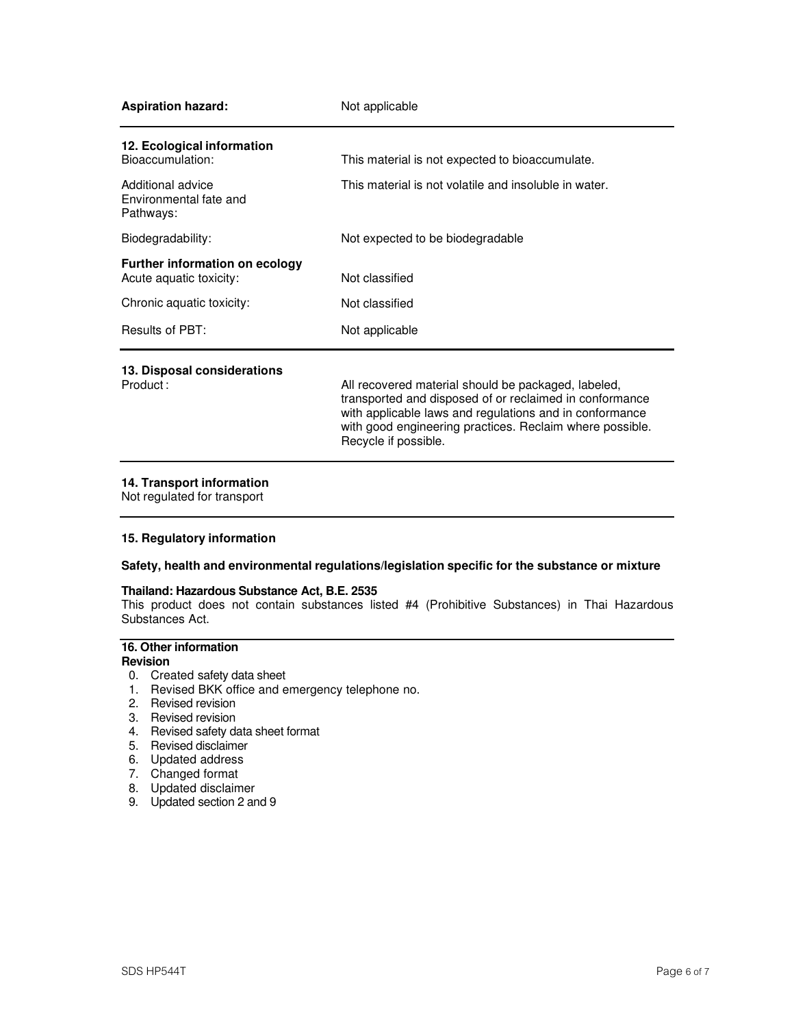| <b>Aspiration hazard:</b>                                        | Not applicable                                                                                                                                                                                                                        |
|------------------------------------------------------------------|---------------------------------------------------------------------------------------------------------------------------------------------------------------------------------------------------------------------------------------|
| 12. Ecological information<br>Bioaccumulation:                   | This material is not expected to bioaccumulate.                                                                                                                                                                                       |
|                                                                  |                                                                                                                                                                                                                                       |
| Additional advice<br>Environmental fate and<br>Pathways:         | This material is not volatile and insoluble in water.                                                                                                                                                                                 |
| Biodegradability:                                                | Not expected to be biodegradable                                                                                                                                                                                                      |
| <b>Further information on ecology</b><br>Acute aquatic toxicity: | Not classified                                                                                                                                                                                                                        |
| Chronic aquatic toxicity:                                        | Not classified                                                                                                                                                                                                                        |
| Results of PBT:                                                  | Not applicable                                                                                                                                                                                                                        |
| 13. Disposal considerations                                      |                                                                                                                                                                                                                                       |
| Product:                                                         | All recovered material should be packaged, labeled,<br>transported and disposed of or reclaimed in conformance<br>with applicable laws and regulations and in conformance<br>with good engineering practices. Reclaim where possible. |

### **14. Transport information**

Not regulated for transport

### **15. Regulatory information**

### **Safety, health and environmental regulations/legislation specific for the substance or mixture**

Recycle if possible.

#### **Thailand: Hazardous Substance Act, B.E. 2535**

This product does not contain substances listed #4 (Prohibitive Substances) in Thai Hazardous Substances Act.

## **16. Other information**

- **Revision**
- 0. Created safety data sheet
- 1. Revised BKK office and emergency telephone no.
- 2. Revised revision
- 3. Revised revision
- 4. Revised safety data sheet format
- 5. Revised disclaimer
- 6. Updated address
- 7. Changed format
- 8. Updated disclaimer
- 9. Updated section 2 and 9